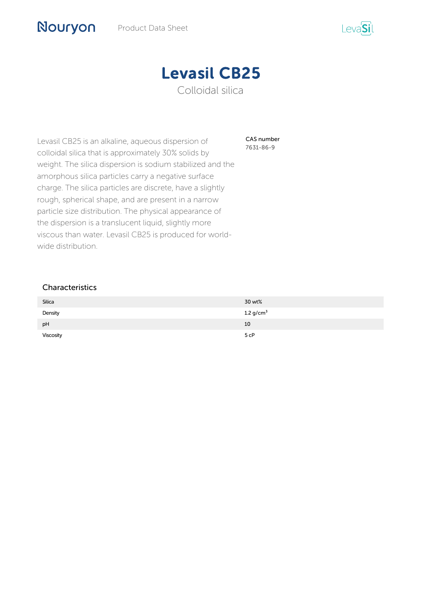

CAS number 7631-86-9

Levasil CB25 is an alkaline, aqueous dispersion of colloidal silica that is approximately 30% solids by weight. The silica dispersion is sodium stabilized and the amorphous silica particles carry a negative surface charge. The silica particles are discrete, have a slightly rough, spherical shape, and are present in a narrow particle size distribution. The physical appearance of the dispersion is a translucent liquid, slightly more viscous than water. Levasil CB25 is produced for worldwide distribution.

### Characteristics

Nouryon

| Silica    | 30 wt%           |
|-----------|------------------|
| Density   | 1.2 $g/cm3$      |
| pH        | 10               |
| Viscosity | 5 <sub>c</sub> P |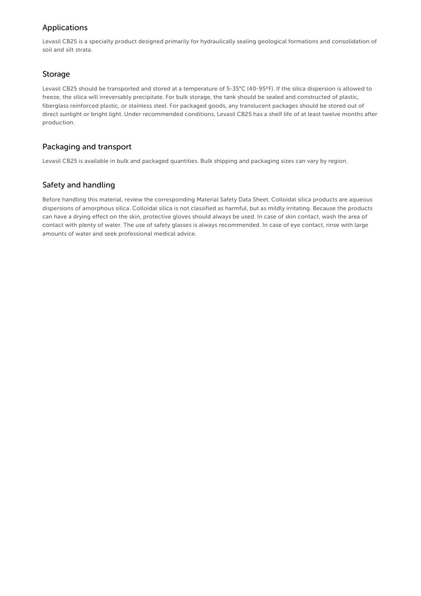# Applications

Levasil CB25 is a specialty product designed primarily for hydraulically sealing geological formations and consolidation of soil and silt strata.

### Storage

Levasil CB25 should be transported and stored at a temperature of 5-35°C (40-95ºF). If the silica dispersion is allowed to freeze, the silica will irreversably precipitate. For bulk storage, the tank should be sealed and constructed of plastic, fiberglass reinforced plastic, or stainless steel. For packaged goods, any translucent packages should be stored out of direct sunlight or bright light. Under recommended conditions, Levasil CB25 has a shelf life of at least twelve months after production.

## Packaging and transport

Levasil CB25 is available in bulk and packaged quantities. Bulk shipping and packaging sizes can vary by region.

# Safety and handling

Before handling this material, review the corresponding Material Safety Data Sheet. Colloidal silica products are aqueous dispersions of amorphous silica. Colloidal silica is not classified as harmful, but as mildly irritating. Because the products can have a drying effect on the skin, protective gloves should always be used. In case of skin contact, wash the area of contact with plenty of water. The use of safety glasses is always recommended. In case of eye contact, rinse with large amounts of water and seek professional medical advice.